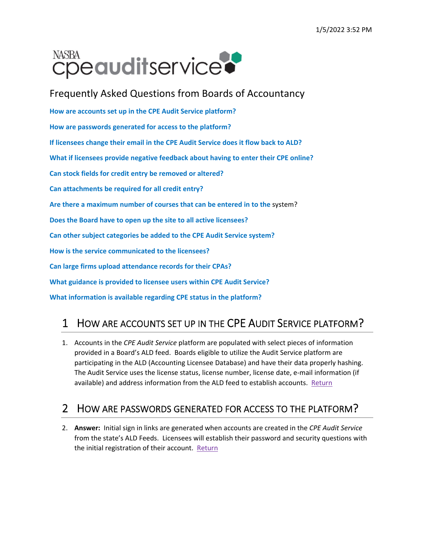# NASBA **Cpeauditservice**

Frequently Asked Questions from Boards of Accountancy **How are accounts set up in the CPE Audit Service platform? How are passwords generated for access to the platform? If licensees change their email in the CPE Audit Service does it flow back to ALD? What if licensees provide negative feedback about having to enter their CPE online? Can stock fields for credit entry be removed or altered? Can attachments be required for all credit entry? Are there a maximum number of courses that can be entered in to the** system? **Does the Board have to open up the site to all active licensees? Can other subject categories be added to the CPE Audit Service system? How is the service communicated to the licensees? Can large firms upload attendance records for their CPAs? What guidance is provided to licensee users within CPE Audit Service? What information is available regarding CPE status in the platform?**

### 1 HOW ARE ACCOUNTS SET UP IN THE CPE AUDIT SERVICE PLATFORM?

1. Accounts in the *CPE Audit Service* platform are populated with select pieces of information provided in a Board's ALD feed. Boards eligible to utilize the Audit Service platform are participating in the ALD (Accounting Licensee Database) and have their data properly hashing. The Audit Service uses the license status, license number, license date, e-mail information (if available) and address information from the ALD feed to establish accounts. Return

#### 2 HOW ARE PASSWORDS GENERATED FOR ACCESS TO THE PLATFORM?

2. **Answer:** Initial sign in links are generated when accounts are created in the *CPE Audit Service* from the state's ALD Feeds. Licensees will establish their password and security questions with the initial registration of their account. Return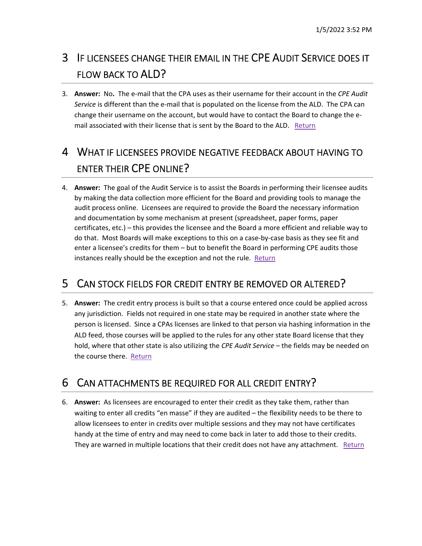# 3 IF LICENSEES CHANGE THEIR EMAIL IN THE CPE AUDIT SERVICE DOES IT FLOW BACK TO ALD?

3. **Answer:** No**.** The e‐mail that the CPA uses as their username for their account in the *CPE Audit Service* is different than the e‐mail that is populated on the license from the ALD. The CPA can change their username on the account, but would have to contact the Board to change the e‐ mail associated with their license that is sent by the Board to the ALD. Return

# 4 WHAT IF LICENSEES PROVIDE NEGATIVE FEEDBACK ABOUT HAVING TO ENTER THEIR CPE ONLINE?

4. **Answer:** The goal of the Audit Service is to assist the Boards in performing their licensee audits by making the data collection more efficient for the Board and providing tools to manage the audit process online. Licensees are required to provide the Board the necessary information and documentation by some mechanism at present (spreadsheet, paper forms, paper certificates, etc.) – this provides the licensee and the Board a more efficient and reliable way to do that. Most Boards will make exceptions to this on a case‐by‐case basis as they see fit and enter a licensee's credits for them – but to benefit the Board in performing CPE audits those instances really should be the exception and not the rule. Return

#### 5 CAN STOCK FIELDS FOR CREDIT ENTRY BE REMOVED OR ALTERED?

5. **Answer:** The credit entry process is built so that a course entered once could be applied across any jurisdiction. Fields not required in one state may be required in another state where the person is licensed. Since a CPAs licenses are linked to that person via hashing information in the ALD feed, those courses will be applied to the rules for any other state Board license that they hold, where that other state is also utilizing the *CPE Audit Service* – the fields may be needed on the course there. Return

### 6 CAN ATTACHMENTS BE REQUIRED FOR ALL CREDIT ENTRY?

6. **Answer:** As licensees are encouraged to enter their credit as they take them, rather than waiting to enter all credits "en masse" if they are audited – the flexibility needs to be there to allow licensees to enter in credits over multiple sessions and they may not have certificates handy at the time of entry and may need to come back in later to add those to their credits. They are warned in multiple locations that their credit does not have any attachment. Return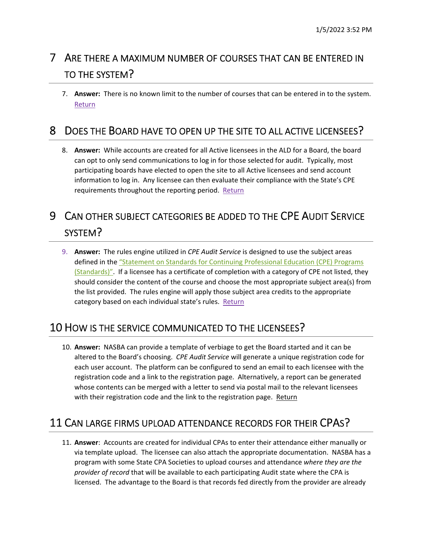# 7 ARE THERE A MAXIMUM NUMBER OF COURSES THAT CAN BE ENTERED IN TO THE SYSTEM?

7. **Answer:** There is no known limit to the number of courses that can be entered in to the system. Return

### 8 DOES THE BOARD HAVE TO OPEN UP THE SITE TO ALL ACTIVE LICENSEES?

8. **Answer:** While accounts are created for all Active licensees in the ALD for a Board, the board can opt to only send communications to log in for those selected for audit. Typically, most participating boards have elected to open the site to all Active licensees and send account information to log in. Any licensee can then evaluate their compliance with the State's CPE requirements throughout the reporting period. Return

## 9 CAN OTHER SUBJECT CATEGORIES BE ADDED TO THE CPE AUDIT SERVICE SYSTEM?

9. **Answer:** The rules engine utilized in *CPE Audit Service* is designed to use the subject areas defined in the "Statement on Standards for Continuing Professional Education (CPE) Programs (Standards)". If a licensee has a certificate of completion with a category of CPE not listed, they should consider the content of the course and choose the most appropriate subject area(s) from the list provided. The rules engine will apply those subject area credits to the appropriate category based on each individual state's rules. Return

### 10 HOW IS THE SERVICE COMMUNICATED TO THE LICENSEES?

10. **Answer:** NASBA can provide a template of verbiage to get the Board started and it can be altered to the Board's choosing. *CPE Audit Service* will generate a unique registration code for each user account. The platform can be configured to send an email to each licensee with the registration code and a link to the registration page. Alternatively, a report can be generated whose contents can be merged with a letter to send via postal mail to the relevant licensees with their registration code and the link to the registration page. Return

### 11 CAN LARGE FIRMS UPLOAD ATTENDANCE RECORDS FOR THEIR CPAS?

11. **Answer**: Accounts are created for individual CPAs to enter their attendance either manually or via template upload. The licensee can also attach the appropriate documentation. NASBA has a program with some State CPA Societies to upload courses and attendance *where they are the provider of record* that will be available to each participating Audit state where the CPA is licensed. The advantage to the Board is that records fed directly from the provider are already